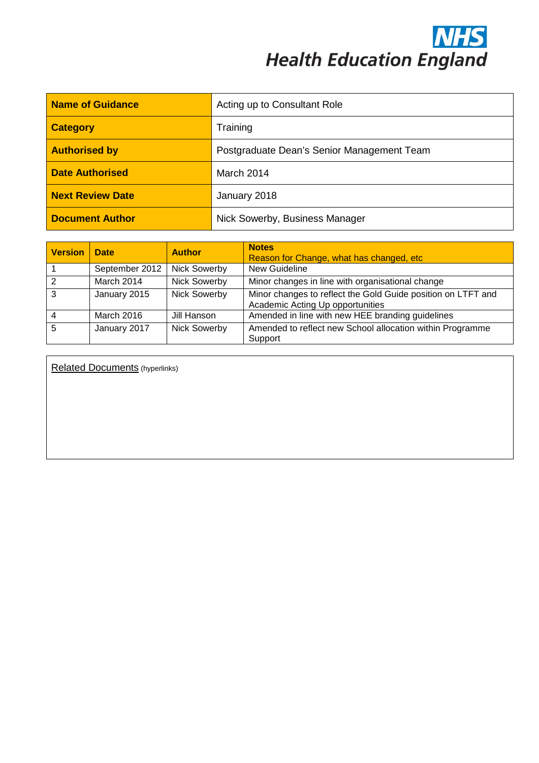**NHS**<br>Health Education England

| Name of Guidance        | Acting up to Consultant Role               |  |
|-------------------------|--------------------------------------------|--|
| <b>Category</b>         | Training                                   |  |
| <b>Authorised by</b>    | Postgraduate Dean's Senior Management Team |  |
| <b>Date Authorised</b>  | March 2014                                 |  |
| <b>Next Review Date</b> | January 2018                               |  |
| <b>Document Author</b>  | Nick Sowerby, Business Manager             |  |

| <b>Version</b> | <b>Date</b>    | <b>Author</b>       | <b>Notes</b><br>Reason for Change, what has changed, etc.                                        |
|----------------|----------------|---------------------|--------------------------------------------------------------------------------------------------|
|                | September 2012 | <b>Nick Sowerby</b> | New Guideline                                                                                    |
| $\overline{2}$ | March 2014     | <b>Nick Sowerby</b> | Minor changes in line with organisational change                                                 |
| $\overline{3}$ | January 2015   | <b>Nick Sowerby</b> | Minor changes to reflect the Gold Guide position on LTFT and<br>Academic Acting Up opportunities |
| $\overline{4}$ | March 2016     | Jill Hanson         | Amended in line with new HEE branding guidelines                                                 |
| 5              | January 2017   | <b>Nick Sowerby</b> | Amended to reflect new School allocation within Programme<br>Support                             |

Related Documents (hyperlinks)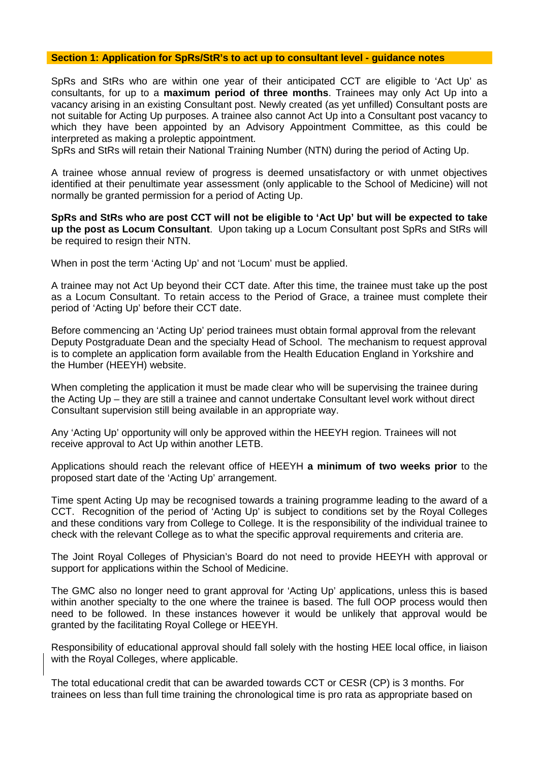## **Section 1: Application for SpRs/StR's to act up to consultant level - guidance notes**

SpRs and StRs who are within one year of their anticipated CCT are eligible to 'Act Up' as consultants, for up to a **maximum period of three months**. Trainees may only Act Up into a vacancy arising in an existing Consultant post. Newly created (as yet unfilled) Consultant posts are not suitable for Acting Up purposes. A trainee also cannot Act Up into a Consultant post vacancy to which they have been appointed by an Advisory Appointment Committee, as this could be interpreted as making a proleptic appointment.

SpRs and StRs will retain their National Training Number (NTN) during the period of Acting Up.

A trainee whose annual review of progress is deemed unsatisfactory or with unmet objectives identified at their penultimate year assessment (only applicable to the School of Medicine) will not normally be granted permission for a period of Acting Up.

**SpRs and StRs who are post CCT will not be eligible to 'Act Up' but will be expected to take up the post as Locum Consultant**. Upon taking up a Locum Consultant post SpRs and StRs will be required to resign their NTN.

When in post the term 'Acting Up' and not 'Locum' must be applied.

A trainee may not Act Up beyond their CCT date. After this time, the trainee must take up the post as a Locum Consultant. To retain access to the Period of Grace, a trainee must complete their period of 'Acting Up' before their CCT date.

Before commencing an 'Acting Up' period trainees must obtain formal approval from the relevant Deputy Postgraduate Dean and the specialty Head of School. The mechanism to request approval is to complete an application form available from the Health Education England in Yorkshire and the Humber (HEEYH) website.

When completing the application it must be made clear who will be supervising the trainee during the Acting Up – they are still a trainee and cannot undertake Consultant level work without direct Consultant supervision still being available in an appropriate way.

Any 'Acting Up' opportunity will only be approved within the HEEYH region. Trainees will not receive approval to Act Up within another LETB.

Applications should reach the relevant office of HEEYH **a minimum of two weeks prior** to the proposed start date of the 'Acting Up' arrangement.

Time spent Acting Up may be recognised towards a training programme leading to the award of a CCT. Recognition of the period of 'Acting Up' is subject to conditions set by the Royal Colleges and these conditions vary from College to College. It is the responsibility of the individual trainee to check with the relevant College as to what the specific approval requirements and criteria are.

The Joint Royal Colleges of Physician's Board do not need to provide HEEYH with approval or support for applications within the School of Medicine.

The GMC also no longer need to grant approval for 'Acting Up' applications, unless this is based within another specialty to the one where the trainee is based. The full OOP process would then need to be followed. In these instances however it would be unlikely that approval would be granted by the facilitating Royal College or HEEYH.

Responsibility of educational approval should fall solely with the hosting HEE local office, in liaison with the Royal Colleges, where applicable.

The total educational credit that can be awarded towards CCT or CESR (CP) is 3 months. For trainees on less than full time training the chronological time is pro rata as appropriate based on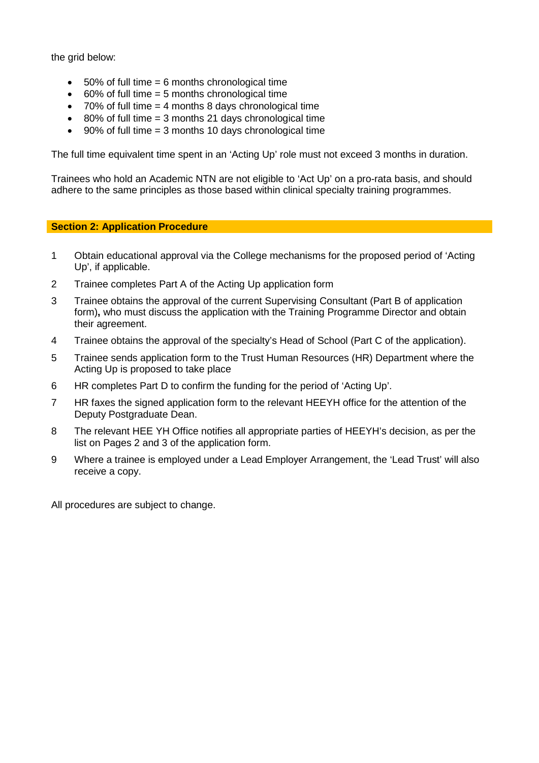the grid below:

- $\bullet$  50% of full time = 6 months chronological time
- 60% of full time = 5 months chronological time
- $\bullet$  70% of full time = 4 months 8 days chronological time
- 80% of full time = 3 months 21 days chronological time
- $90\%$  of full time = 3 months 10 days chronological time

The full time equivalent time spent in an 'Acting Up' role must not exceed 3 months in duration.

Trainees who hold an Academic NTN are not eligible to 'Act Up' on a pro-rata basis, and should adhere to the same principles as those based within clinical specialty training programmes.

## **Section 2: Application Procedure**

- 1 Obtain educational approval via the College mechanisms for the proposed period of 'Acting Up', if applicable.
- 2 Trainee completes Part A of the Acting Up application form
- 3 Trainee obtains the approval of the current Supervising Consultant (Part B of application form)**,** who must discuss the application with the Training Programme Director and obtain their agreement.
- 4 Trainee obtains the approval of the specialty's Head of School (Part C of the application).
- 5 Trainee sends application form to the Trust Human Resources (HR) Department where the Acting Up is proposed to take place
- 6 HR completes Part D to confirm the funding for the period of 'Acting Up'.
- 7 HR faxes the signed application form to the relevant HEEYH office for the attention of the Deputy Postgraduate Dean.
- 8 The relevant HEE YH Office notifies all appropriate parties of HEEYH's decision, as per the list on Pages 2 and 3 of the application form.
- 9 Where a trainee is employed under a Lead Employer Arrangement, the 'Lead Trust' will also receive a copy.

All procedures are subject to change.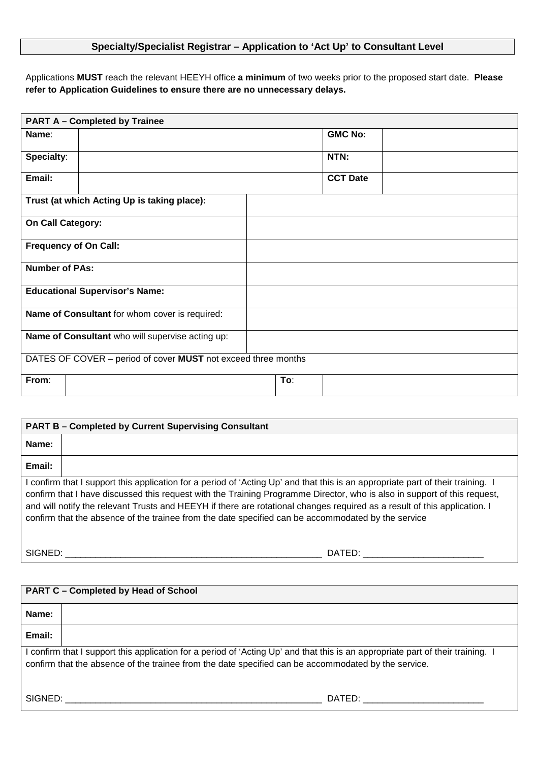## **Specialty/Specialist Registrar – Application to 'Act Up' to Consultant Level**

Applications **MUST** reach the relevant HEEYH office **a minimum** of two weeks prior to the proposed start date. **Please refer to Application Guidelines to ensure there are no unnecessary delays.**

| <b>PART A - Completed by Trainee</b>                          |                                                |     |  |                 |  |  |
|---------------------------------------------------------------|------------------------------------------------|-----|--|-----------------|--|--|
| Name:                                                         |                                                |     |  | <b>GMC No:</b>  |  |  |
| Specialty:                                                    |                                                |     |  | NTN:            |  |  |
| Email:                                                        |                                                |     |  | <b>CCT Date</b> |  |  |
|                                                               | Trust (at which Acting Up is taking place):    |     |  |                 |  |  |
| <b>On Call Category:</b>                                      |                                                |     |  |                 |  |  |
| <b>Frequency of On Call:</b>                                  |                                                |     |  |                 |  |  |
| <b>Number of PAs:</b>                                         |                                                |     |  |                 |  |  |
|                                                               | <b>Educational Supervisor's Name:</b>          |     |  |                 |  |  |
|                                                               | Name of Consultant for whom cover is required: |     |  |                 |  |  |
| Name of Consultant who will supervise acting up:              |                                                |     |  |                 |  |  |
| DATES OF COVER - period of cover MUST not exceed three months |                                                |     |  |                 |  |  |
| From:                                                         |                                                | To: |  |                 |  |  |

| <b>PART B - Completed by Current Supervising Consultant</b>                                                                                                                                                                                                                                                                                                                                                                                                                                    |        |  |
|------------------------------------------------------------------------------------------------------------------------------------------------------------------------------------------------------------------------------------------------------------------------------------------------------------------------------------------------------------------------------------------------------------------------------------------------------------------------------------------------|--------|--|
| Name:                                                                                                                                                                                                                                                                                                                                                                                                                                                                                          |        |  |
| Email:                                                                                                                                                                                                                                                                                                                                                                                                                                                                                         |        |  |
| I confirm that I support this application for a period of 'Acting Up' and that this is an appropriate part of their training. I<br>confirm that I have discussed this request with the Training Programme Director, who is also in support of this request,<br>and will notify the relevant Trusts and HEEYH if there are rotational changes required as a result of this application. I<br>confirm that the absence of the trainee from the date specified can be accommodated by the service |        |  |
| SIGNED:                                                                                                                                                                                                                                                                                                                                                                                                                                                                                        | DATED: |  |

| <b>PART C - Completed by Head of School</b> |                                                                                                                                                                                                                                        |  |
|---------------------------------------------|----------------------------------------------------------------------------------------------------------------------------------------------------------------------------------------------------------------------------------------|--|
| Name:                                       |                                                                                                                                                                                                                                        |  |
| Email:                                      |                                                                                                                                                                                                                                        |  |
|                                             | I confirm that I support this application for a period of 'Acting Up' and that this is an appropriate part of their training. I<br>confirm that the absence of the trainee from the date specified can be accommodated by the service. |  |
| SIGNED:                                     | DATED:                                                                                                                                                                                                                                 |  |